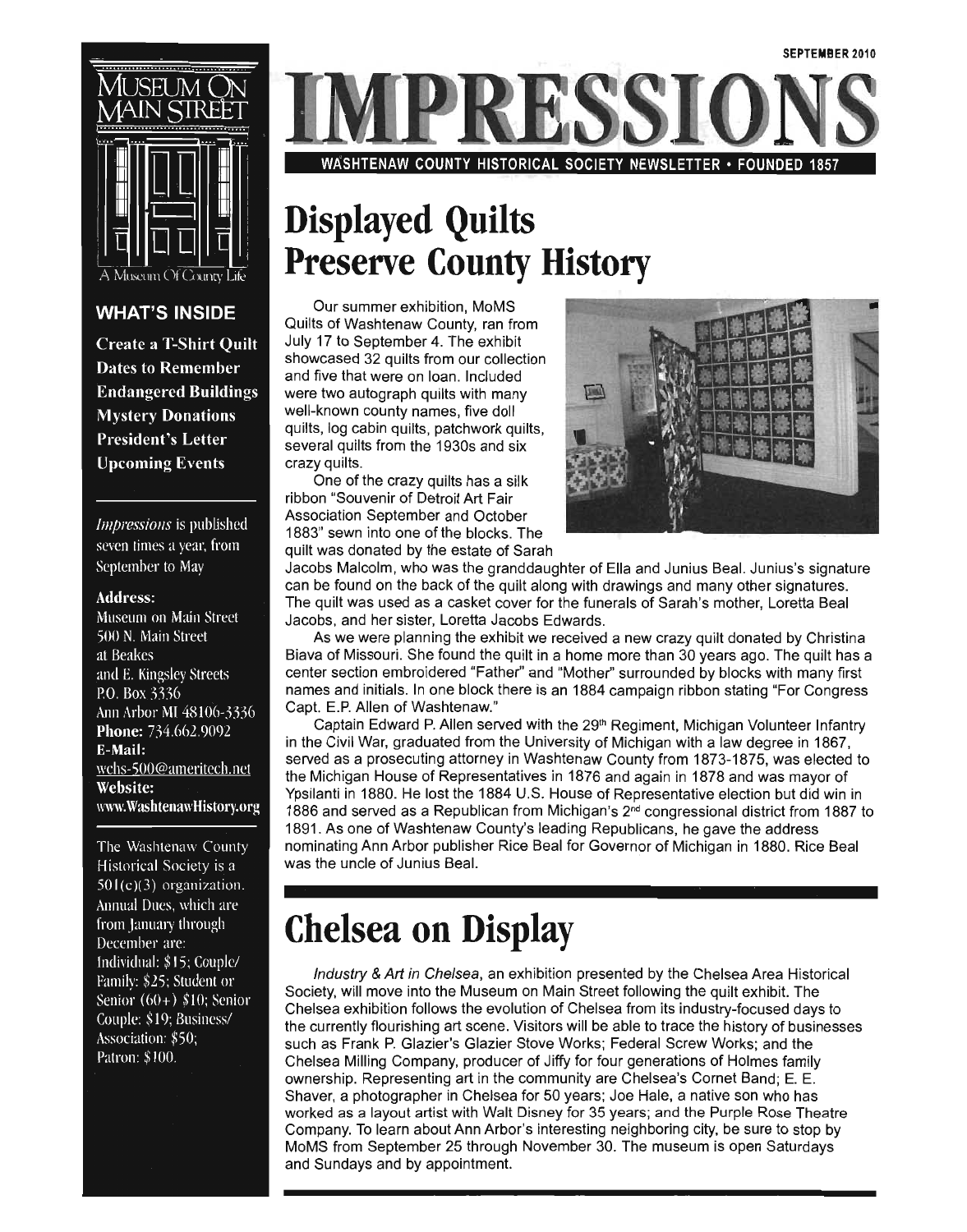

### **WHAT'S INSIDE**

**Create a T-Shirt Quilt Dates to Remember Endangered Buildings Mystery Donations President's Letter Upcoming Events** 

Impressions is published seven times a year, from September to May

#### **Address:**

Museum on Main Street 500 N. Main Street at Beakes and E. Kingsley Streets P.O. Box 3336 Ann Arbor MI 48106-3336 Phone: 734.662.9092 E-Mail: wchs-500@ameritech.net **Website:** www.WashtenawHistory.org

The Washtenaw County Historical Society is a  $501(c)(3)$  organization. Annual Dues, which are from January through December are: Individual: \$15; Couple/ Family: \$25; Student or Senior  $(60+)$  \$10; Senior Couple: \$19; Business/ Association: \$50; Patron: \$100.

WASHTENAW COUNTY HISTORICAL SOCIETY NEWSLETTER· FOUNDED 1857

### **Displayed Quilts Preserve County History**

Our summer exhibition, MoMS . Quilts of Washtenaw County, ran from July 17 to September 4. The exhibit showcased 32 quilts from our collection and five that were on loan. Included were two autograph quilts with many well-known county names, five doll quilts, log cabin quilts, patchwork quilts, several quilts from the 1930s and six crazy quilts.

One of the crazy quilts has a silk ribbon "Souvenir of Detroit Art Fair Association September and October 1883" sewn into one of the blocks. The quilt was donated by the estate of Sarah



Jacobs Malcolm, who was the granddaughter of Ella and Junius Beal. Junius's signature can be found on the back of the quilt along with drawings and many other signatures. The quilt was used as a casket cover for the funerals of Sarah's mother, Loretta Beal . Jacobs, and her sister, Loretta Jacobs Edwards.

As we were planning the exhibit we received a new crazy quilt donated by Christina Biava of Missouri. She found the quilt in a home more than 30 years ago. The quilt has a center section embroidered "Father" and "Mother" surrounded by blocks with many first names and initials. In one block there is an 1884 campaign ribbon stating "For Congress Capt. E.P. Allen of Washtenaw."

Captain Edward P. Allen served with the 29<sup>th</sup> Regiment, Michigan Volunteer Infantry in the Civil War, graduated from the University of Michigan with a law degree in 1867, served as a prosecuting attorney in Washtenaw County from 1873-1875, was elected to. the Michigan House of Representatives in 1876 and again in 1878 and was mayor of Ypsilanti in 1880. He lost the 1884 U.S. House of Representative election but did win in 1886 and served as a Republican from Michigan's 2nd congressional district from 1887 to 1891. As one of Washtenaw County's leading Republicans, he gave the address nominating Ann Arbor publisher Rice Beal for Governor of Michigan in 1880. Rice Beal was the uncle of Junius Beal.

### **Chelsea on Display**

Industry & Art in Chelsea, an exhibition presented by the Chelsea Area Historical Society, will move into the Museum on Main Street following the quilt exhibit. The Chelsea exhibition follows the evolution of Chelsea from its industry-focused days to the currently flourishing art scene. Visitors will be able to trace the history of businesses such as Frank P. Glazier's Glazier Stove Works; Federal Screw Works; and the Chelsea Milling Company, producer of Jiffy for four generations of Holmes family ownership. Representing art in the community are Chelsea's Cornet Band; E. E. Shaver, a photographer in Chelsea for 50 years; Joe Hale, a native son who has worked as a layout artist with Walt Disney for 35 years; and the Purple Rose Theatre Company. To learn about Ann Arbor's interesting neighboring city, be sure to stop by MoMS from September 25 through November 30. The museum is open Saturdays and Sundays and by appointment.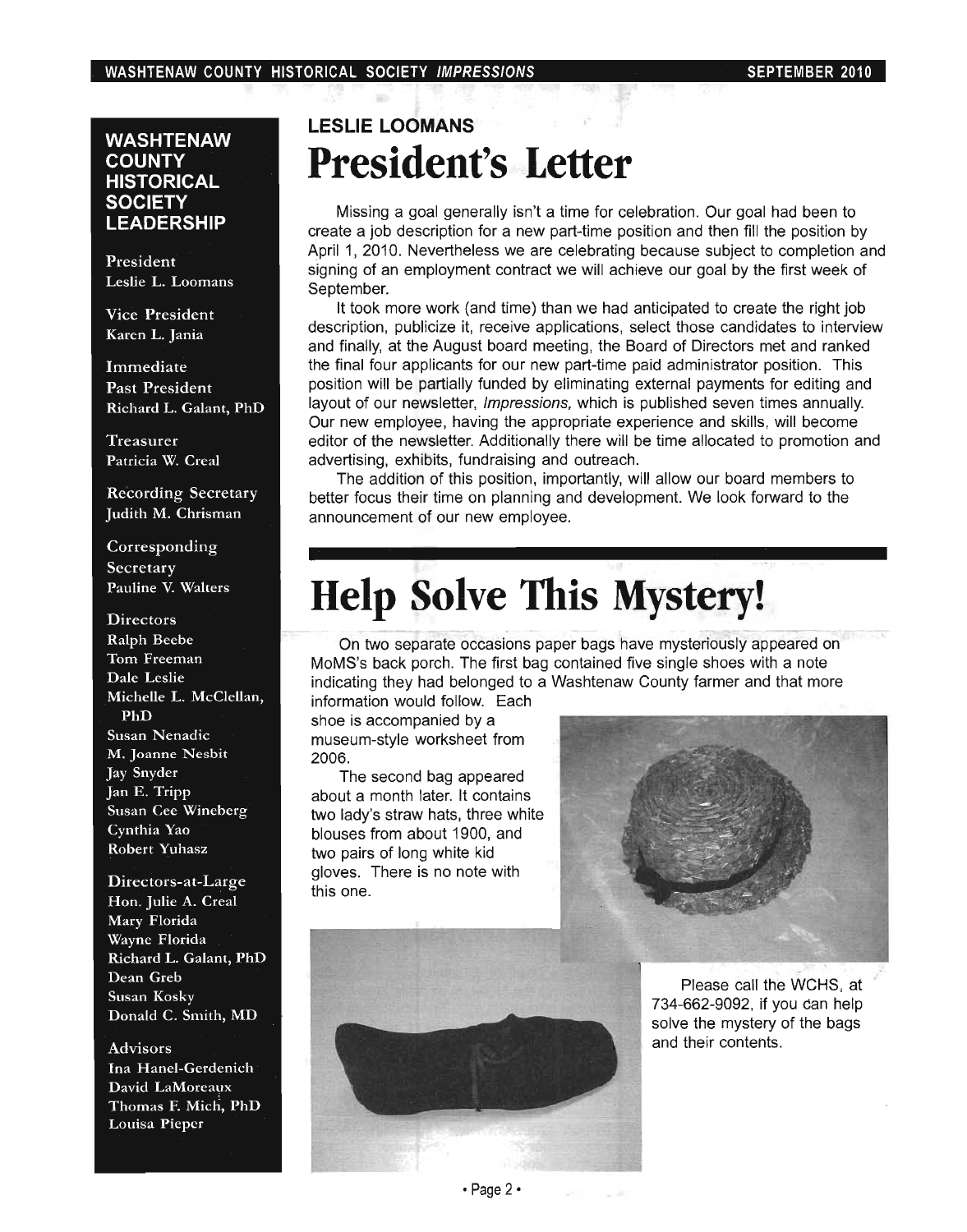### **WASHTENAW COUNTY HISTORICAL SOCIETY LEADERSHIP**

President Leslie L. Loomans

Vice President Karen L. Jania

Immediate Past President Richard L. Galant, PhD

Treasurer Patricia W. Creal

Recording Secretary Judith M. Chrisman

Corresponding Secretary Pauline V. Walters

#### **Directors**

Ralph Beebe Tom Freeman Dale Leslie Michelle L. McClellan, PhD Susan Nenadic M. Joanne Nesbit Jay Snyder Jan E. Tripp Susan Cee Wineberg Cynthia Yao Robert Yuhasz

Directors-at-Large Hon. Julie A. Creal Mary Florida Wayne Florida Richard L. Galant, PhD Dean Greb Susan Kosky Donald C. Smith, MD

Advisors Ina Hanel-Gerdenich David LaMoreaux Thomas F. Mich, PhD Louisa Pieper

### **LESLIE LOOMANS President's Letter**

Missing a goal generally isn't a time for celebration. Our goal had been to create a job description for a new part-time position and then fill the position by April 1, 2010. Nevertheless we are celebrating because subject to completion and signing of an employment contract we will achieve our goal by the first week of September.

It took more work (and time) than we had anticipated to create the right job description, publicize it, receive applications, select those candidates to interview and finally, at the August board meeting, the Board of Directors met and ranked the final four applicants for our new part-time paid administrator position. This position will be partially funded by eliminating external payments for editing and layout of our newsletter, Impressions, which is published seven times annually. Our new employee, having the appropriate experience and skills, will become editor of the newsletter. Additionally there will be time allocated to promotion and advertising, exhibits, fundraising and outreach.

The addition of this position, importantly, will allow our board members to better focus their time on planning and development. We look forward to the announcement of our new employee.

### **Help Solve This Mystery! .**

. On two separate occasions paper bags have mysteriously appeared on MoMS's back porch. The first bag contained five single shoes with a note indicating they had belonged to a Washtenaw County farmer and that more

information would follow. Each shoe is accompanied by a museum-style worksheet from 2006.

The second bag appeared about a month later. It contains two lady's straw hats, three white blouses from about 1900, and two pairs of long white kid gloves. There is no note with this one.



Please call the WCHS, at 734-662-9092, if you Can help solve the mystery of the bags and their contents .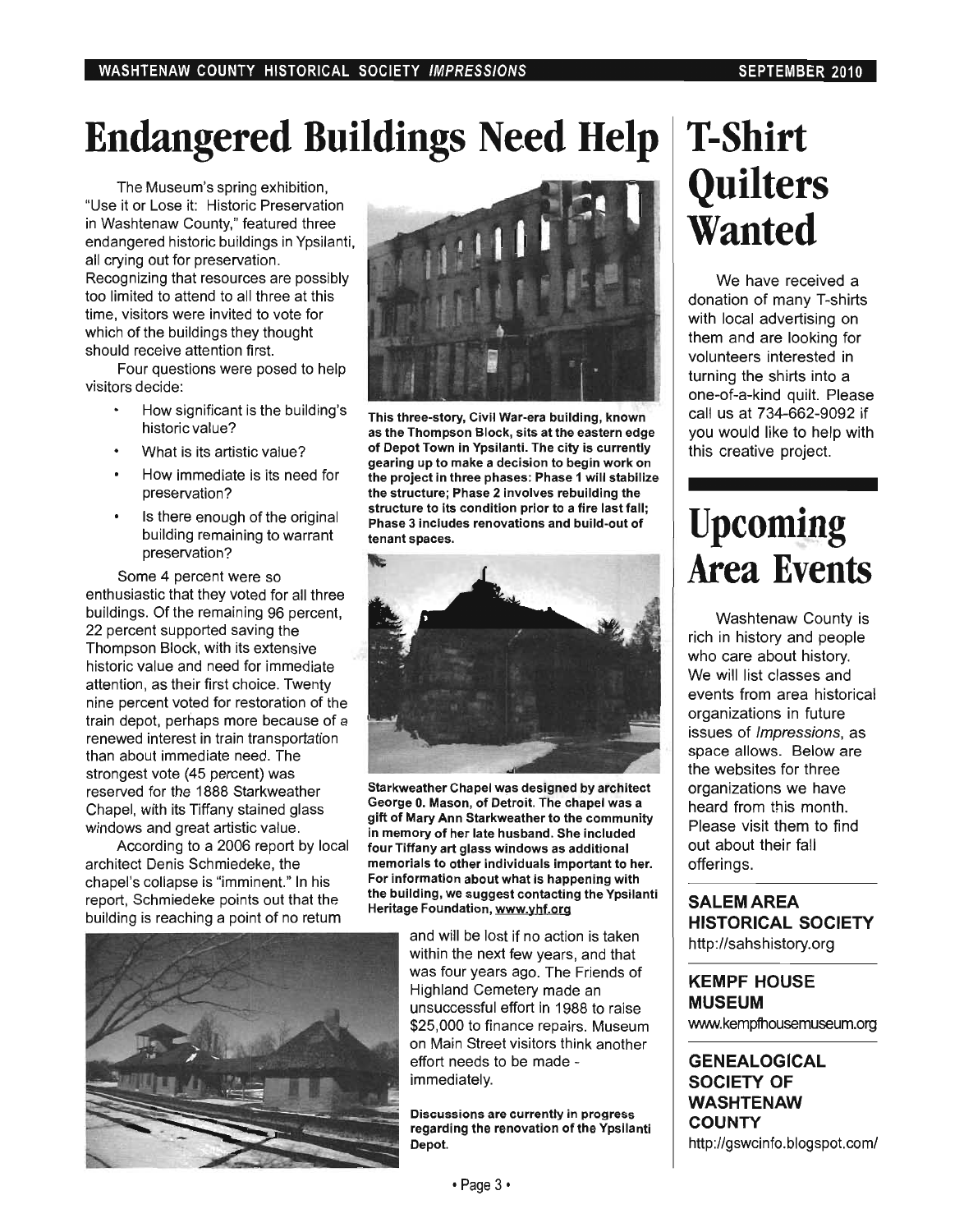# **Endangered Buildings Need Help**

The Museum's spring exhibition, "Use it or Lose it: Historic Preservation in Washtenaw County," featured three endangered historic buildings in Ypsilanti, all crying out for preservation. Recognizing that resources are possibly too limited to attend to all three at this time, visitors were invited to vote for which of the buildings they thought should receive attention first.

Four questions were posed to help visitors decide:

- How significant is the building's historic value?
- What is its artistic value?
- How immediate is its need for preservation?
- Is there enough of the original building remaining to warrant preservation?

Some 4 percent were so enthusiastic that they voted for all three buildings. Of the remaining 96 percent, 22 percent supported saving the Thompson Block, with its extensive historic value and need for immediate attention, as their first choice. Twenty nine percent voted for restoration of the train depot, perhaps more because of a renewed interest in train transportation than about immediate need. The strongest vote (45 percent) was reserved for the 1888 Starkweather Chapel, with its Tiffany stained glass windows and great artistic value.

According to a 2006 report by local architect Denis Schmiedeke, the chapel's collapse is "imminent." In his report, Schmiedeke points out that the building is reaching a point of no retum



This three-story, Civil War-era building, known as the Thompson Block, sits at the eastern edge of Depot Town in Ypsilanti. The city is currently gearing up to make a decision to begin work on the project in three phases: Phase 1 will stabilize the structure; Phase 2 involves rebuilding the structure to its condition prior to a fire last fall; Phase 3 includes renovations and build-out of tenant spaces.



Starkweather Chapel was designed by architect George O. Mason, of Detroit. The chapel was a gift of Mary Ann Starkweather to the community in memory of her late husband. She included four Tiffany art glass windows as additional memorials to other individuals important to her. For information about what is happening with the building, we suggest contacting the Ypsilanti Heritage Foundation, www.yhf.org



and will be lost if no action is taken within the next few years, and that was four years ago. The Friends of Highland Cemetery made an unsuccessful effort in 1988 to raise \$25,000 to finance repairs. Museum on Main Street visitors think another effort needs to be made immediately.

Discussions are currently in progress regarding the renovation of the Ypsilanti Depot.

# **T-Shirt Quilters Wanted**

We have received a donation of many T-shirts with local advertising on them and are looking for volunteers interested in turning the shirts into a one-of-a-kind quilt. Please call us at 734-662-9092 if you would like to help with this creative project.

### **Upcoming Area Events**

Washtenaw County is rich in history and people who care about history. We will list classes and events from area historical organizations in future issues of Impressions, as space allows. Below are the websites for three organizations we have heard from this month. Please visit them to find out about their fall offerings.

SALEM AREA **HISTORICAL SOCIETY**  http://sahshistory.org

#### **KEMPF HOUSE MUSEUM**  www.kempfhousemuseum.org

**GENEALOGICAL SOCIETY OF WASHTENAW COUNTY**  http://gswcinfo.blogspot.com/